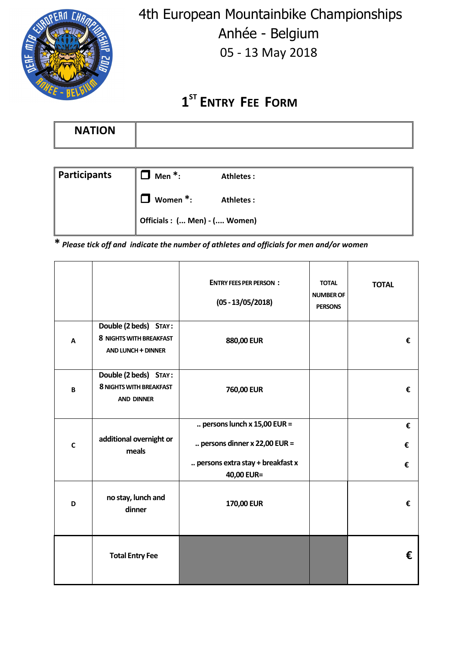

 4th European Mountainbike Championships Anhée - Belgium 05 - 13 May 2018

## **1 ST ENTRY FEE FORM**

| <b>NATION</b> |  |
|---------------|--|
|               |  |

| <b>Participants</b> | Men $*$ :                    | Athletes: |  |
|---------------------|------------------------------|-----------|--|
|                     | Women $*$ :<br>. I           | Athletes: |  |
|                     | Officials: ( Men) - ( Women) |           |  |

**\*** *Please tick off and indicate the number of athletes and officials for men and/or women*

|             |                                                                                      | <b>ENTRY FEES PER PERSON:</b><br>$(05 - 13/05/2018)$                                                              | <b>TOTAL</b><br><b>NUMBER OF</b><br><b>PERSONS</b> | <b>TOTAL</b> |
|-------------|--------------------------------------------------------------------------------------|-------------------------------------------------------------------------------------------------------------------|----------------------------------------------------|--------------|
| A           | Double (2 beds) STAY:<br><b>8 NIGHTS WITH BREAKFAST</b><br><b>AND LUNCH + DINNER</b> | 880,00 EUR                                                                                                        |                                                    | €            |
| B           | Double (2 beds) STAY:<br><b>8 NIGHTS WITH BREAKFAST</b><br><b>AND DINNER</b>         | 760,00 EUR                                                                                                        |                                                    | €            |
| $\mathbf c$ | additional overnight or<br>meals                                                     | persons lunch $x$ 15,00 EUR =<br>persons dinner $x$ 22,00 EUR =<br>persons extra stay + breakfast x<br>40,00 EUR= |                                                    | €<br>€<br>€  |
| D           | no stay, lunch and<br>dinner                                                         | 170,00 EUR                                                                                                        |                                                    | €            |
|             | <b>Total Entry Fee</b>                                                               |                                                                                                                   |                                                    | €            |